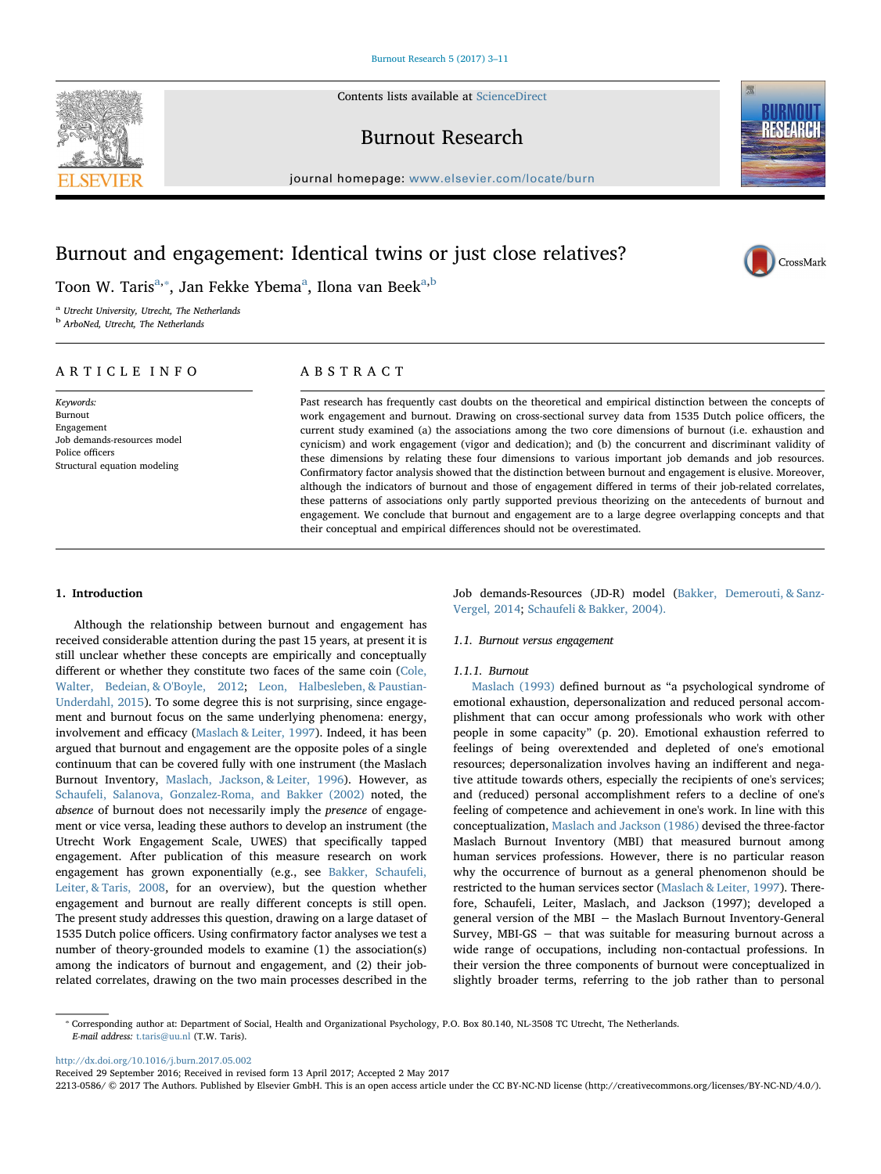Contents lists available at [ScienceDirect](http://www.sciencedirect.com/science/journal/22130586)



Burnout Research



CrossMark

journal homepage: [www.elsevier.com/locate/burn](http://www.elsevier.com/locate/burn)

# Burnout and engagement: Identical twins or just close relatives?

Toon W. Taris<sup>[a,](#page-0-0)</sup>\*, J[a](#page-0-0)n Fekke Y[b](#page-0-2)ema<sup>a</sup>, Ilona van Beek<sup>a,b</sup>

<span id="page-0-0"></span><sup>a</sup> Utrecht University, Utrecht, The Netherlands

<span id="page-0-2"></span><sup>b</sup> ArboNed, Utrecht, The Netherlands

# ARTICLE INFO

Keywords: Burnout Engagement Job demands-resources model Police officers Structural equation modeling

# ABSTRACT

Past research has frequently cast doubts on the theoretical and empirical distinction between the concepts of work engagement and burnout. Drawing on cross-sectional survey data from 1535 Dutch police officers, the current study examined (a) the associations among the two core dimensions of burnout (i.e. exhaustion and cynicism) and work engagement (vigor and dedication); and (b) the concurrent and discriminant validity of these dimensions by relating these four dimensions to various important job demands and job resources. Confirmatory factor analysis showed that the distinction between burnout and engagement is elusive. Moreover, although the indicators of burnout and those of engagement differed in terms of their job-related correlates, these patterns of associations only partly supported previous theorizing on the antecedents of burnout and engagement. We conclude that burnout and engagement are to a large degree overlapping concepts and that their conceptual and empirical differences should not be overestimated.

# 1. Introduction

Although the relationship between burnout and engagement has received considerable attention during the past 15 years, at present it is still unclear whether these concepts are empirically and conceptually different or whether they constitute two faces of the same coin ([Cole,](#page-8-0) [Walter, Bedeian, & O'Boyle, 2012](#page-8-0); [Leon, Halbesleben, & Paustian-](#page-8-1)[Underdahl, 2015\)](#page-8-1). To some degree this is not surprising, since engagement and burnout focus on the same underlying phenomena: energy, involvement and efficacy ([Maslach & Leiter, 1997](#page-8-2)). Indeed, it has been argued that burnout and engagement are the opposite poles of a single continuum that can be covered fully with one instrument (the Maslach Burnout Inventory, [Maslach, Jackson, & Leiter, 1996\)](#page-8-3). However, as [Schaufeli, Salanova, Gonzalez-Roma, and Bakker \(2002\)](#page-8-4) noted, the absence of burnout does not necessarily imply the presence of engagement or vice versa, leading these authors to develop an instrument (the Utrecht Work Engagement Scale, UWES) that specifically tapped engagement. After publication of this measure research on work engagement has grown exponentially (e.g., see [Bakker, Schaufeli,](#page-7-0) [Leiter, & Taris, 2008,](#page-7-0) for an overview), but the question whether engagement and burnout are really different concepts is still open. The present study addresses this question, drawing on a large dataset of 1535 Dutch police officers. Using confirmatory factor analyses we test a number of theory-grounded models to examine (1) the association(s) among the indicators of burnout and engagement, and (2) their jobrelated correlates, drawing on the two main processes described in the Job demands-Resources (JD-R) model [\(Bakker, Demerouti, & Sanz-](#page-7-1)[Vergel, 2014](#page-7-1); [Schaufeli & Bakker, 2004\).](#page-8-5)

### 1.1. Burnout versus engagement

# 1.1.1. Burnout

[Maslach \(1993\)](#page-8-6) defined burnout as "a psychological syndrome of emotional exhaustion, depersonalization and reduced personal accomplishment that can occur among professionals who work with other people in some capacity" (p. 20). Emotional exhaustion referred to feelings of being overextended and depleted of one's emotional resources; depersonalization involves having an indifferent and negative attitude towards others, especially the recipients of one's services; and (reduced) personal accomplishment refers to a decline of one's feeling of competence and achievement in one's work. In line with this conceptualization, [Maslach and Jackson \(1986\)](#page-8-7) devised the three-factor Maslach Burnout Inventory (MBI) that measured burnout among human services professions. However, there is no particular reason why the occurrence of burnout as a general phenomenon should be restricted to the human services sector [\(Maslach & Leiter, 1997](#page-8-2)). Therefore, Schaufeli, Leiter, Maslach, and Jackson (1997); developed a general version of the MBI − the Maslach Burnout Inventory-General Survey, MBI-GS − that was suitable for measuring burnout across a wide range of occupations, including non-contactual professions. In their version the three components of burnout were conceptualized in slightly broader terms, referring to the job rather than to personal

<http://dx.doi.org/10.1016/j.burn.2017.05.002>

Received 29 September 2016; Received in revised form 13 April 2017; Accepted 2 May 2017

2213-0586/ © 2017 The Authors. Published by Elsevier GmbH. This is an open access article under the CC BY-NC-ND license (http://creativecommons.org/licenses/BY-NC-ND/4.0/).

<span id="page-0-1"></span><sup>⁎</sup> Corresponding author at: Department of Social, Health and Organizational Psychology, P.O. Box 80.140, NL-3508 TC Utrecht, The Netherlands. E-mail address: [t.taris@uu.nl](mailto:t.taris@uu.nl) (T.W. Taris).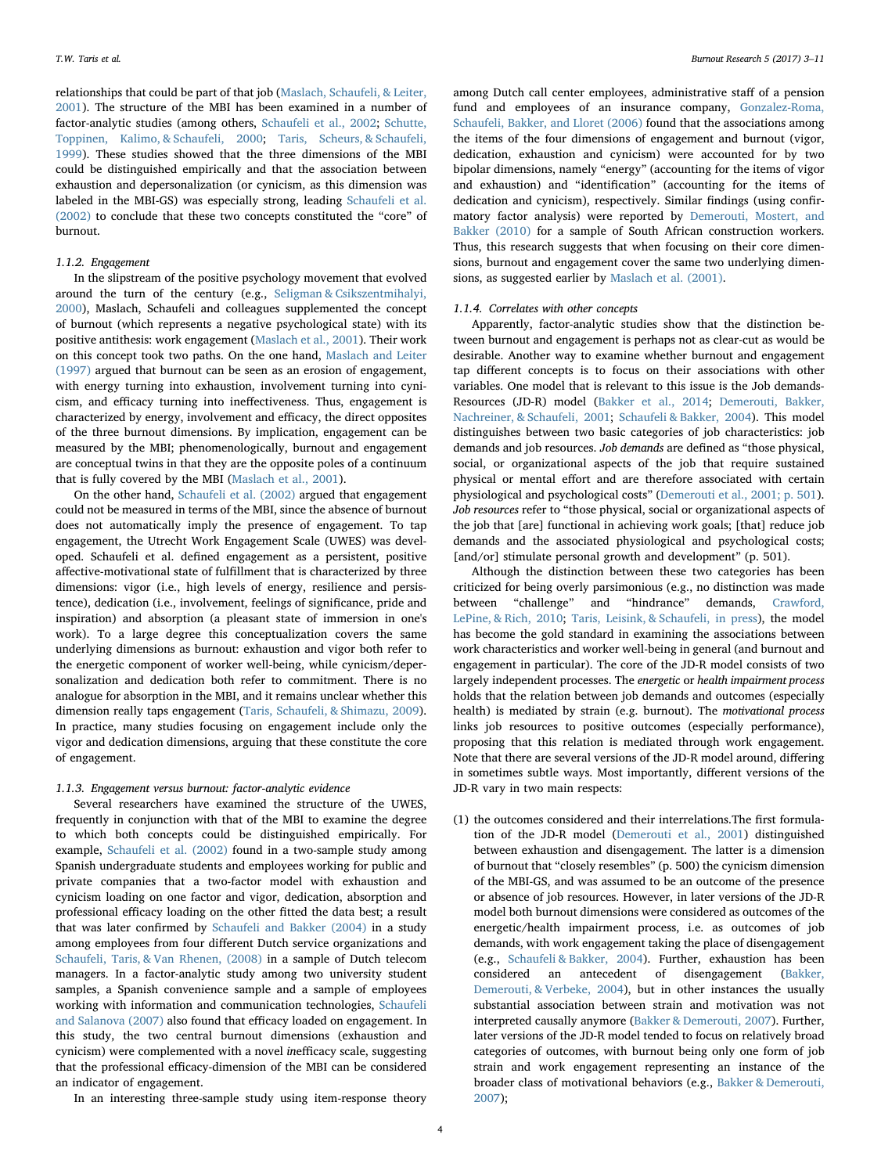relationships that could be part of that job ([Maslach, Schaufeli, & Leiter,](#page-8-8) [2001\)](#page-8-8). The structure of the MBI has been examined in a number of factor-analytic studies (among others, [Schaufeli et al., 2002;](#page-8-4) [Schutte,](#page-8-9) [Toppinen, Kalimo, & Schaufeli, 2000;](#page-8-9) [Taris, Scheurs, & Schaufeli,](#page-8-10) [1999\)](#page-8-10). These studies showed that the three dimensions of the MBI could be distinguished empirically and that the association between exhaustion and depersonalization (or cynicism, as this dimension was labeled in the MBI-GS) was especially strong, leading [Schaufeli et al.](#page-8-4) [\(2002\)](#page-8-4) to conclude that these two concepts constituted the "core" of burnout.

#### 1.1.2. Engagement

In the slipstream of the positive psychology movement that evolved around the turn of the century (e.g., [Seligman & Csikszentmihalyi,](#page-8-11) [2000\)](#page-8-11), Maslach, Schaufeli and colleagues supplemented the concept of burnout (which represents a negative psychological state) with its positive antithesis: work engagement ([Maslach et al., 2001\)](#page-8-8). Their work on this concept took two paths. On the one hand, [Maslach and Leiter](#page-8-2) [\(1997\)](#page-8-2) argued that burnout can be seen as an erosion of engagement, with energy turning into exhaustion, involvement turning into cynicism, and efficacy turning into ineffectiveness. Thus, engagement is characterized by energy, involvement and efficacy, the direct opposites of the three burnout dimensions. By implication, engagement can be measured by the MBI; phenomenologically, burnout and engagement are conceptual twins in that they are the opposite poles of a continuum that is fully covered by the MBI ([Maslach et al., 2001](#page-8-8)).

On the other hand, [Schaufeli et al. \(2002\)](#page-8-4) argued that engagement could not be measured in terms of the MBI, since the absence of burnout does not automatically imply the presence of engagement. To tap engagement, the Utrecht Work Engagement Scale (UWES) was developed. Schaufeli et al. defined engagement as a persistent, positive affective-motivational state of fulfillment that is characterized by three dimensions: vigor (i.e., high levels of energy, resilience and persistence), dedication (i.e., involvement, feelings of significance, pride and inspiration) and absorption (a pleasant state of immersion in one's work). To a large degree this conceptualization covers the same underlying dimensions as burnout: exhaustion and vigor both refer to the energetic component of worker well-being, while cynicism/depersonalization and dedication both refer to commitment. There is no analogue for absorption in the MBI, and it remains unclear whether this dimension really taps engagement ([Taris, Schaufeli, & Shimazu, 2009](#page-8-12)). In practice, many studies focusing on engagement include only the vigor and dedication dimensions, arguing that these constitute the core of engagement.

# 1.1.3. Engagement versus burnout: factor-analytic evidence

Several researchers have examined the structure of the UWES, frequently in conjunction with that of the MBI to examine the degree to which both concepts could be distinguished empirically. For example, [Schaufeli et al. \(2002\)](#page-8-4) found in a two-sample study among Spanish undergraduate students and employees working for public and private companies that a two-factor model with exhaustion and cynicism loading on one factor and vigor, dedication, absorption and professional efficacy loading on the other fitted the data best; a result that was later confirmed by [Schaufeli and Bakker \(2004\)](#page-8-5) in a study among employees from four different Dutch service organizations and [Schaufeli, Taris, & Van Rhenen, \(2008\)](#page-8-13) in a sample of Dutch telecom managers. In a factor-analytic study among two university student samples, a Spanish convenience sample and a sample of employees working with information and communication technologies, [Schaufeli](#page-8-14) [and Salanova \(2007\)](#page-8-14) also found that efficacy loaded on engagement. In this study, the two central burnout dimensions (exhaustion and cynicism) were complemented with a novel inefficacy scale, suggesting that the professional efficacy-dimension of the MBI can be considered an indicator of engagement.

among Dutch call center employees, administrative staff of a pension fund and employees of an insurance company, [Gonzalez-Roma,](#page-8-15) [Schaufeli, Bakker, and Lloret \(2006\)](#page-8-15) found that the associations among the items of the four dimensions of engagement and burnout (vigor, dedication, exhaustion and cynicism) were accounted for by two bipolar dimensions, namely "energy" (accounting for the items of vigor and exhaustion) and "identification" (accounting for the items of dedication and cynicism), respectively. Similar findings (using confirmatory factor analysis) were reported by [Demerouti, Mostert, and](#page-8-16) [Bakker \(2010\)](#page-8-16) for a sample of South African construction workers. Thus, this research suggests that when focusing on their core dimensions, burnout and engagement cover the same two underlying dimensions, as suggested earlier by [Maslach et al. \(2001\).](#page-8-8)

# 1.1.4. Correlates with other concepts

Apparently, factor-analytic studies show that the distinction between burnout and engagement is perhaps not as clear-cut as would be desirable. Another way to examine whether burnout and engagement tap different concepts is to focus on their associations with other variables. One model that is relevant to this issue is the Job demands-Resources (JD-R) model ([Bakker et al., 2014](#page-7-1); [Demerouti, Bakker,](#page-8-17) [Nachreiner, & Schaufeli, 2001;](#page-8-17) [Schaufeli & Bakker, 2004](#page-8-5)). This model distinguishes between two basic categories of job characteristics: job demands and job resources. Job demands are defined as "those physical, social, or organizational aspects of the job that require sustained physical or mental effort and are therefore associated with certain physiological and psychological costs" ([Demerouti et al., 2001; p. 501](#page-8-17)). Job resources refer to "those physical, social or organizational aspects of the job that [are] functional in achieving work goals; [that] reduce job demands and the associated physiological and psychological costs; [and/or] stimulate personal growth and development" (p. 501).

Although the distinction between these two categories has been criticized for being overly parsimonious (e.g., no distinction was made between "challenge" and "hindrance" demands, [Crawford,](#page-8-18) [LePine, & Rich, 2010;](#page-8-18) [Taris, Leisink, & Schaufeli, in press](#page-8-19)), the model has become the gold standard in examining the associations between work characteristics and worker well-being in general (and burnout and engagement in particular). The core of the JD-R model consists of two largely independent processes. The energetic or health impairment process holds that the relation between job demands and outcomes (especially health) is mediated by strain (e.g. burnout). The motivational process links job resources to positive outcomes (especially performance), proposing that this relation is mediated through work engagement. Note that there are several versions of the JD-R model around, differing in sometimes subtle ways. Most importantly, different versions of the JD-R vary in two main respects:

(1) the outcomes considered and their interrelations.The first formulation of the JD-R model ([Demerouti et al., 2001](#page-8-17)) distinguished between exhaustion and disengagement. The latter is a dimension of burnout that "closely resembles" (p. 500) the cynicism dimension of the MBI-GS, and was assumed to be an outcome of the presence or absence of job resources. However, in later versions of the JD-R model both burnout dimensions were considered as outcomes of the energetic/health impairment process, i.e. as outcomes of job demands, with work engagement taking the place of disengagement (e.g., [Schaufeli & Bakker, 2004\)](#page-8-5). Further, exhaustion has been considered an antecedent of disengagement [\(Bakker,](#page-7-2) [Demerouti, & Verbeke, 2004\)](#page-7-2), but in other instances the usually substantial association between strain and motivation was not interpreted causally anymore ([Bakker & Demerouti, 2007\)](#page-7-3). Further, later versions of the JD-R model tended to focus on relatively broad categories of outcomes, with burnout being only one form of job strain and work engagement representing an instance of the broader class of motivational behaviors (e.g., [Bakker & Demerouti,](#page-7-3) [2007](#page-7-3));

In an interesting three-sample study using item-response theory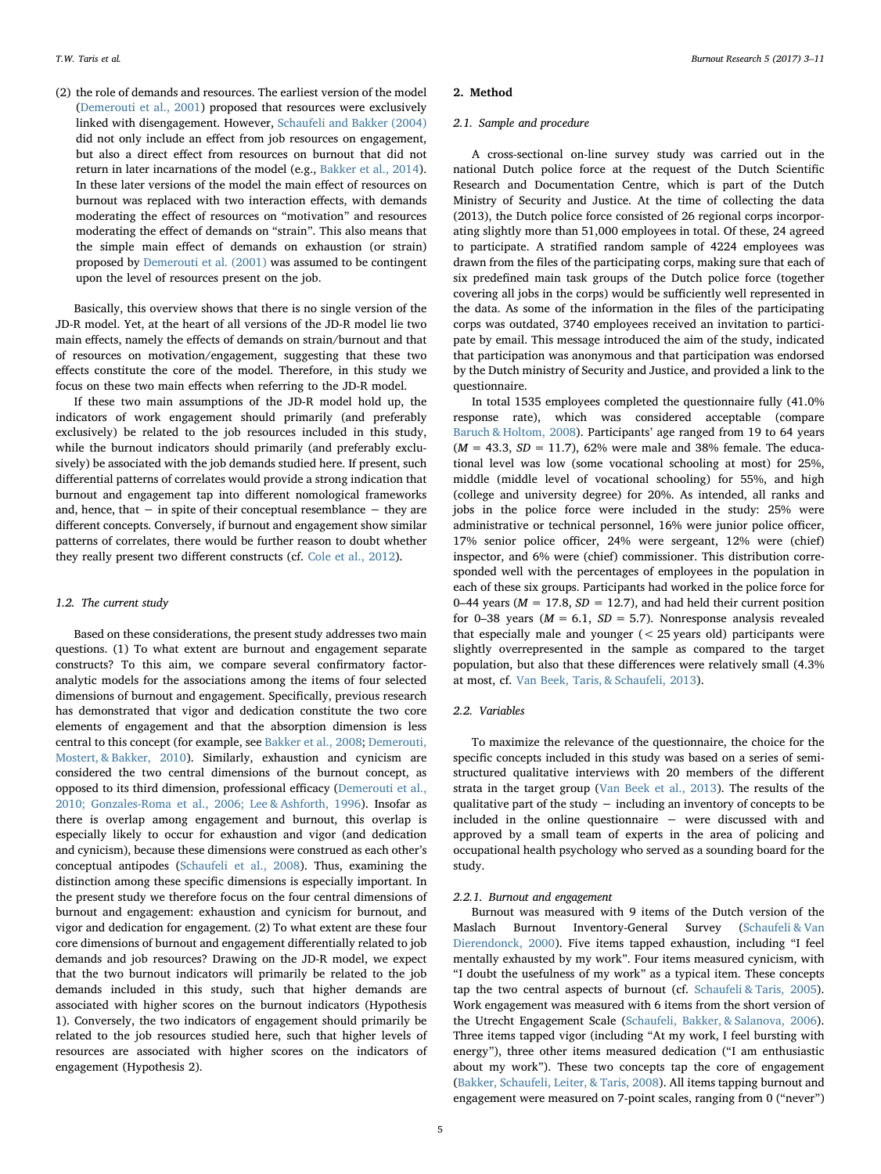(2) the role of demands and resources. The earliest version of the model [\(Demerouti et al., 2001\)](#page-8-17) proposed that resources were exclusively linked with disengagement. However, [Schaufeli and Bakker \(2004\)](#page-8-5) did not only include an effect from job resources on engagement, but also a direct effect from resources on burnout that did not return in later incarnations of the model (e.g., [Bakker et al., 2014](#page-7-1)). In these later versions of the model the main effect of resources on burnout was replaced with two interaction effects, with demands moderating the effect of resources on "motivation" and resources moderating the effect of demands on "strain". This also means that the simple main effect of demands on exhaustion (or strain) proposed by [Demerouti et al. \(2001\)](#page-8-17) was assumed to be contingent upon the level of resources present on the job.

Basically, this overview shows that there is no single version of the JD-R model. Yet, at the heart of all versions of the JD-R model lie two main effects, namely the effects of demands on strain/burnout and that of resources on motivation/engagement, suggesting that these two effects constitute the core of the model. Therefore, in this study we focus on these two main effects when referring to the JD-R model.

If these two main assumptions of the JD-R model hold up, the indicators of work engagement should primarily (and preferably exclusively) be related to the job resources included in this study, while the burnout indicators should primarily (and preferably exclusively) be associated with the job demands studied here. If present, such differential patterns of correlates would provide a strong indication that burnout and engagement tap into different nomological frameworks and, hence, that − in spite of their conceptual resemblance − they are different concepts. Conversely, if burnout and engagement show similar patterns of correlates, there would be further reason to doubt whether they really present two different constructs (cf. [Cole et al., 2012](#page-8-0)).

# 1.2. The current study

Based on these considerations, the present study addresses two main questions. (1) To what extent are burnout and engagement separate constructs? To this aim, we compare several confirmatory factoranalytic models for the associations among the items of four selected dimensions of burnout and engagement. Specifically, previous research has demonstrated that vigor and dedication constitute the two core elements of engagement and that the absorption dimension is less central to this concept (for example, see [Bakker et al., 2008;](#page-7-0) [Demerouti,](#page-8-16) [Mostert, & Bakker, 2010](#page-8-16)). Similarly, exhaustion and cynicism are considered the two central dimensions of the burnout concept, as opposed to its third dimension, professional efficacy ([Demerouti et al.,](#page-8-16) [2010; Gonzales-Roma et al., 2006; Lee & Ashforth, 1996](#page-8-16)). Insofar as there is overlap among engagement and burnout, this overlap is especially likely to occur for exhaustion and vigor (and dedication and cynicism), because these dimensions were construed as each other's conceptual antipodes ([Schaufeli et al., 2008\)](#page-8-13). Thus, examining the distinction among these specific dimensions is especially important. In the present study we therefore focus on the four central dimensions of burnout and engagement: exhaustion and cynicism for burnout, and vigor and dedication for engagement. (2) To what extent are these four core dimensions of burnout and engagement differentially related to job demands and job resources? Drawing on the JD-R model, we expect that the two burnout indicators will primarily be related to the job demands included in this study, such that higher demands are associated with higher scores on the burnout indicators (Hypothesis 1). Conversely, the two indicators of engagement should primarily be related to the job resources studied here, such that higher levels of resources are associated with higher scores on the indicators of engagement (Hypothesis 2).

### 2. Method

# 2.1. Sample and procedure

A cross-sectional on-line survey study was carried out in the national Dutch police force at the request of the Dutch Scientific Research and Documentation Centre, which is part of the Dutch Ministry of Security and Justice. At the time of collecting the data (2013), the Dutch police force consisted of 26 regional corps incorporating slightly more than 51,000 employees in total. Of these, 24 agreed to participate. A stratified random sample of 4224 employees was drawn from the files of the participating corps, making sure that each of six predefined main task groups of the Dutch police force (together covering all jobs in the corps) would be sufficiently well represented in the data. As some of the information in the files of the participating corps was outdated, 3740 employees received an invitation to participate by email. This message introduced the aim of the study, indicated that participation was anonymous and that participation was endorsed by the Dutch ministry of Security and Justice, and provided a link to the questionnaire.

In total 1535 employees completed the questionnaire fully (41.0% response rate), which was considered acceptable (compare [Baruch & Holtom, 2008\)](#page-8-20). Participants' age ranged from 19 to 64 years  $(M = 43.3, SD = 11.7)$ , 62% were male and 38% female. The educational level was low (some vocational schooling at most) for 25%, middle (middle level of vocational schooling) for 55%, and high (college and university degree) for 20%. As intended, all ranks and jobs in the police force were included in the study: 25% were administrative or technical personnel, 16% were junior police officer, 17% senior police officer, 24% were sergeant, 12% were (chief) inspector, and 6% were (chief) commissioner. This distribution corresponded well with the percentages of employees in the population in each of these six groups. Participants had worked in the police force for 0–44 years ( $M = 17.8$ ,  $SD = 12.7$ ), and had held their current position for 0–38 years ( $M = 6.1$ ,  $SD = 5.7$ ). Nonresponse analysis revealed that especially male and younger (< 25 years old) participants were slightly overrepresented in the sample as compared to the target population, but also that these differences were relatively small (4.3% at most, cf. [Van Beek, Taris, & Schaufeli, 2013](#page-8-21)).

#### 2.2. Variables

To maximize the relevance of the questionnaire, the choice for the specific concepts included in this study was based on a series of semistructured qualitative interviews with 20 members of the different strata in the target group [\(Van Beek et al., 2013\)](#page-8-21). The results of the qualitative part of the study − including an inventory of concepts to be included in the online questionnaire − were discussed with and approved by a small team of experts in the area of policing and occupational health psychology who served as a sounding board for the study.

#### 2.2.1. Burnout and engagement

Burnout was measured with 9 items of the Dutch version of the Maslach Burnout Inventory-General Survey ([Schaufeli & Van](#page-8-22) [Dierendonck, 2000](#page-8-22)). Five items tapped exhaustion, including "I feel mentally exhausted by my work". Four items measured cynicism, with "I doubt the usefulness of my work" as a typical item. These concepts tap the two central aspects of burnout (cf. [Schaufeli & Taris, 2005](#page-8-23)). Work engagement was measured with 6 items from the short version of the Utrecht Engagement Scale [\(Schaufeli, Bakker, & Salanova, 2006](#page-8-24)). Three items tapped vigor (including "At my work, I feel bursting with energy"), three other items measured dedication ("I am enthusiastic about my work"). These two concepts tap the core of engagement ([Bakker, Schaufeli, Leiter, & Taris, 2008\)](#page-7-0). All items tapping burnout and engagement were measured on 7-point scales, ranging from 0 ("never")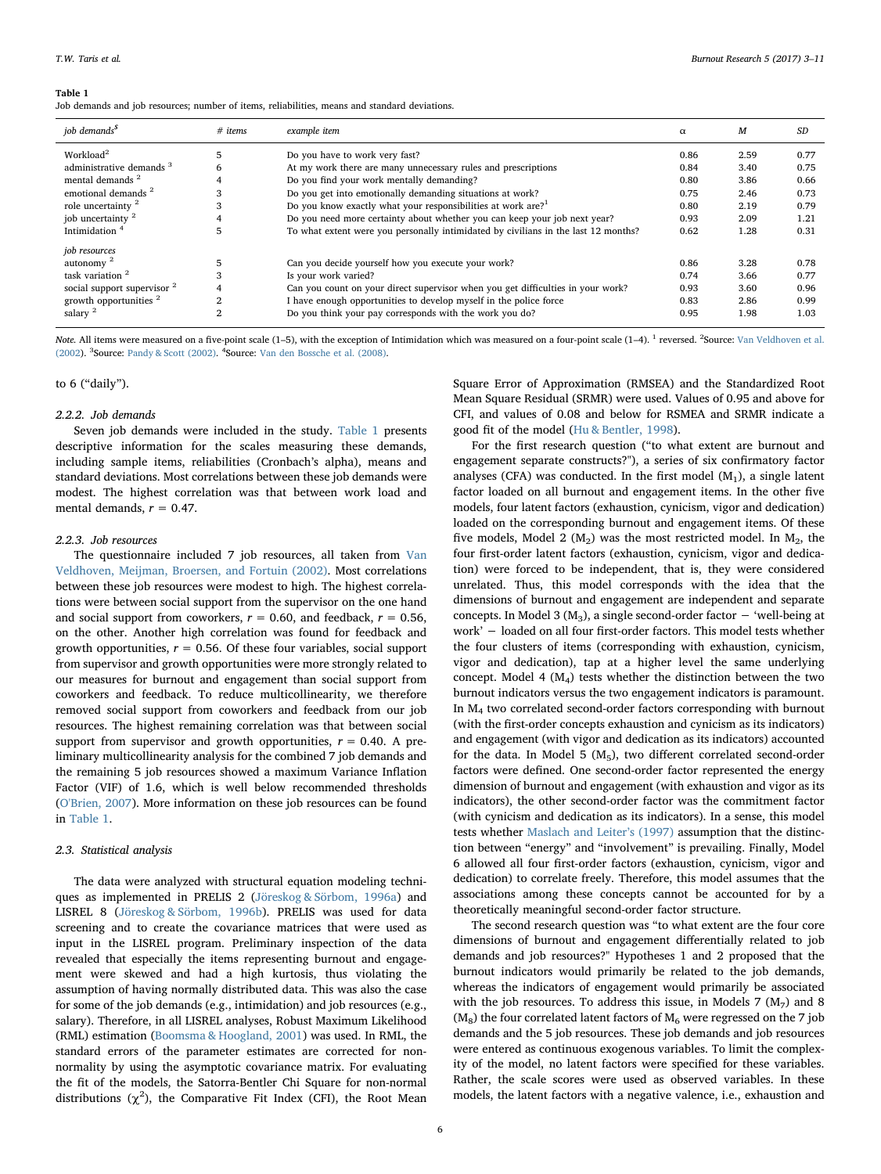#### T.W. Taris et al. *Burnout Research 5 (2017) 3–11*

#### <span id="page-3-0"></span>Table 1

Job demands and job resources; number of items, reliabilities, means and standard deviations.

| job demands <sup>5</sup>               | $#$ items | example item                                                                       | α    | M    | SD   |
|----------------------------------------|-----------|------------------------------------------------------------------------------------|------|------|------|
| Workload <sup>2</sup>                  |           | Do you have to work very fast?                                                     | 0.86 | 2.59 | 0.77 |
| administrative demands <sup>3</sup>    | 6.        | At my work there are many unnecessary rules and prescriptions                      | 0.84 | 3.40 | 0.75 |
| mental demands <sup>2</sup>            |           | Do you find your work mentally demanding?                                          | 0.80 | 3.86 | 0.66 |
| emotional demands <sup>2</sup>         |           | Do you get into emotionally demanding situations at work?                          | 0.75 | 2.46 | 0.73 |
| role uncertainty <sup>2</sup>          |           | Do you know exactly what your responsibilities at work are? <sup>1</sup>           | 0.80 | 2.19 | 0.79 |
| job uncertainty <sup>2</sup>           |           | Do you need more certainty about whether you can keep your job next year?          | 0.93 | 2.09 | 1.21 |
| Intimidation <sup>4</sup>              | 5         | To what extent were you personally intimidated by civilians in the last 12 months? | 0.62 | 1.28 | 0.31 |
| job resources                          |           |                                                                                    |      |      |      |
| autonomy <sup>2</sup>                  |           | Can you decide yourself how you execute your work?                                 | 0.86 | 3.28 | 0.78 |
| task variation <sup>2</sup>            |           | Is your work varied?                                                               | 0.74 | 3.66 | 0.77 |
| social support supervisor <sup>2</sup> |           | Can you count on your direct supervisor when you get difficulties in your work?    | 0.93 | 3.60 | 0.96 |
| growth opportunities <sup>2</sup>      |           | I have enough opportunities to develop myself in the police force                  | 0.83 | 2.86 | 0.99 |
| salary <sup>2</sup>                    | 2         | Do you think your pay corresponds with the work you do?                            | 0.95 | 1.98 | 1.03 |

Note. All items were measured on a five-point scale (1-5), with the exception of Intimidation which was measured on a four-point scale (1-4). <sup>1</sup> reversed. <sup>2</sup>Source: [Van Veldhoven et al.](#page-8-25) [\(2002](#page-8-25)). <sup>3</sup> Source: [Pandy & Scott \(2002\)](#page-8-31). <sup>4</sup> Source: [Van den Bossche et al. \(2008\)](#page-8-32).

# to 6 ("daily").

### 2.2.2. Job demands

Seven job demands were included in the study. [Table 1](#page-3-0) presents descriptive information for the scales measuring these demands, including sample items, reliabilities (Cronbach's alpha), means and standard deviations. Most correlations between these job demands were modest. The highest correlation was that between work load and mental demands,  $r = 0.47$ .

# 2.2.3. Job resources

The questionnaire included 7 job resources, all taken from [Van](#page-8-25) [Veldhoven, Meijman, Broersen, and Fortuin \(2002\).](#page-8-25) Most correlations between these job resources were modest to high. The highest correlations were between social support from the supervisor on the one hand and social support from coworkers,  $r = 0.60$ , and feedback,  $r = 0.56$ , on the other. Another high correlation was found for feedback and growth opportunities,  $r = 0.56$ . Of these four variables, social support from supervisor and growth opportunities were more strongly related to our measures for burnout and engagement than social support from coworkers and feedback. To reduce multicollinearity, we therefore removed social support from coworkers and feedback from our job resources. The highest remaining correlation was that between social support from supervisor and growth opportunities,  $r = 0.40$ . A preliminary multicollinearity analysis for the combined 7 job demands and the remaining 5 job resources showed a maximum Variance Inflation Factor (VIF) of 1.6, which is well below recommended thresholds ([O'Brien, 2007](#page-8-26)). More information on these job resources can be found in [Table 1.](#page-3-0)

#### 2.3. Statistical analysis

The data were analyzed with structural equation modeling techniques as implemented in PRELIS 2 ([Jöreskog & Sörbom, 1996a](#page-8-27)) and LISREL 8 [\(Jöreskog & Sörbom, 1996b](#page-8-28)). PRELIS was used for data screening and to create the covariance matrices that were used as input in the LISREL program. Preliminary inspection of the data revealed that especially the items representing burnout and engagement were skewed and had a high kurtosis, thus violating the assumption of having normally distributed data. This was also the case for some of the job demands (e.g., intimidation) and job resources (e.g., salary). Therefore, in all LISREL analyses, Robust Maximum Likelihood (RML) estimation ([Boomsma & Hoogland, 2001\)](#page-8-29) was used. In RML, the standard errors of the parameter estimates are corrected for nonnormality by using the asymptotic covariance matrix. For evaluating the fit of the models, the Satorra-Bentler Chi Square for non-normal distributions  $(\chi^2)$ , the Comparative Fit Index (CFI), the Root Mean

Square Error of Approximation (RMSEA) and the Standardized Root Mean Square Residual (SRMR) were used. Values of 0.95 and above for CFI, and values of 0.08 and below for RSMEA and SRMR indicate a good fit of the model ([Hu & Bentler, 1998](#page-8-30)).

For the first research question ("to what extent are burnout and engagement separate constructs?"), a series of six confirmatory factor analyses (CFA) was conducted. In the first model  $(M_1)$ , a single latent factor loaded on all burnout and engagement items. In the other five models, four latent factors (exhaustion, cynicism, vigor and dedication) loaded on the corresponding burnout and engagement items. Of these five models, Model 2 ( $M<sub>2</sub>$ ) was the most restricted model. In  $M<sub>2</sub>$ , the four first-order latent factors (exhaustion, cynicism, vigor and dedication) were forced to be independent, that is, they were considered unrelated. Thus, this model corresponds with the idea that the dimensions of burnout and engagement are independent and separate concepts. In Model 3 (M3), a single second-order factor − 'well-being at work' − loaded on all four first-order factors. This model tests whether the four clusters of items (corresponding with exhaustion, cynicism, vigor and dedication), tap at a higher level the same underlying concept. Model 4  $(M<sub>4</sub>)$  tests whether the distinction between the two burnout indicators versus the two engagement indicators is paramount. In M4 two correlated second-order factors corresponding with burnout (with the first-order concepts exhaustion and cynicism as its indicators) and engagement (with vigor and dedication as its indicators) accounted for the data. In Model 5  $(M<sub>5</sub>)$ , two different correlated second-order factors were defined. One second-order factor represented the energy dimension of burnout and engagement (with exhaustion and vigor as its indicators), the other second-order factor was the commitment factor (with cynicism and dedication as its indicators). In a sense, this model tests whether [Maslach and Leiter](#page-8-2)'s (1997) assumption that the distinction between "energy" and "involvement" is prevailing. Finally, Model 6 allowed all four first-order factors (exhaustion, cynicism, vigor and dedication) to correlate freely. Therefore, this model assumes that the associations among these concepts cannot be accounted for by a theoretically meaningful second-order factor structure.

The second research question was "to what extent are the four core dimensions of burnout and engagement differentially related to job demands and job resources?" Hypotheses 1 and 2 proposed that the burnout indicators would primarily be related to the job demands, whereas the indicators of engagement would primarily be associated with the job resources. To address this issue, in Models  $7 \ (M_7)$  and 8 ( $M<sub>8</sub>$ ) the four correlated latent factors of  $M<sub>6</sub>$  were regressed on the 7 job demands and the 5 job resources. These job demands and job resources were entered as continuous exogenous variables. To limit the complexity of the model, no latent factors were specified for these variables. Rather, the scale scores were used as observed variables. In these models, the latent factors with a negative valence, i.e., exhaustion and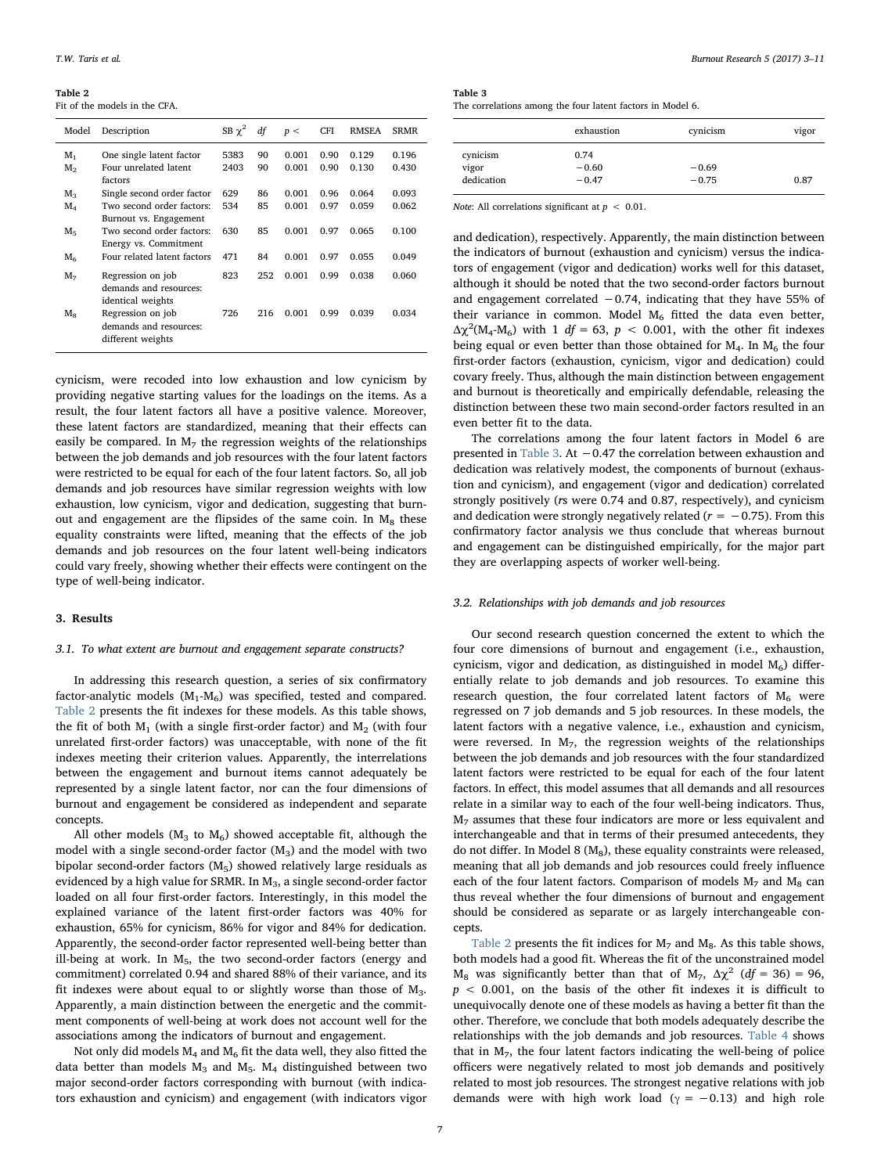<span id="page-4-0"></span>Table 2

Fit of the models in the CFA.

| Model          | Description                                                      | SB $\chi^2$ | df  | p<    | CFI  | <b>RMSEA</b> | <b>SRMR</b> |
|----------------|------------------------------------------------------------------|-------------|-----|-------|------|--------------|-------------|
| $M_1$          | One single latent factor                                         | 5383        | 90  | 0.001 | 0.90 | 0.129        | 0.196       |
| M <sub>2</sub> | Four unrelated latent<br>factors                                 | 2403        | 90  | 0.001 | 0.90 | 0.130        | 0.430       |
| $M_{\rm R}$    | Single second order factor                                       | 629         | 86  | 0.001 | 0.96 | 0.064        | 0.093       |
| $M_4$          | Two second order factors:<br>Burnout vs. Engagement              | 534         | 85  | 0.001 | 0.97 | 0.059        | 0.062       |
| M <sub>5</sub> | Two second order factors:<br>Energy vs. Commitment               | 630         | 85  | 0.001 | 0.97 | 0.065        | 0.100       |
| M <sub>6</sub> | Four related latent factors                                      | 471         | 84  | 0.001 | 0.97 | 0.055        | 0.049       |
| M <sub>7</sub> | Regression on job<br>demands and resources:<br>identical weights | 823         | 252 | 0.001 | 0.99 | 0.038        | 0.060       |
| $M_{\rm R}$    | Regression on job<br>demands and resources:<br>different weights | 726         | 216 | 0.001 | 0.99 | 0.039        | 0.034       |

cynicism, were recoded into low exhaustion and low cynicism by providing negative starting values for the loadings on the items. As a result, the four latent factors all have a positive valence. Moreover, these latent factors are standardized, meaning that their effects can easily be compared. In  $M<sub>7</sub>$  the regression weights of the relationships between the job demands and job resources with the four latent factors were restricted to be equal for each of the four latent factors. So, all job demands and job resources have similar regression weights with low exhaustion, low cynicism, vigor and dedication, suggesting that burnout and engagement are the flipsides of the same coin. In  $M_8$  these equality constraints were lifted, meaning that the effects of the job demands and job resources on the four latent well-being indicators could vary freely, showing whether their effects were contingent on the type of well-being indicator.

# 3. Results

# 3.1. To what extent are burnout and engagement separate constructs?

In addressing this research question, a series of six confirmatory factor-analytic models  $(M_1-M_6)$  was specified, tested and compared. [Table 2](#page-4-0) presents the fit indexes for these models. As this table shows, the fit of both  $M_1$  (with a single first-order factor) and  $M_2$  (with four unrelated first-order factors) was unacceptable, with none of the fit indexes meeting their criterion values. Apparently, the interrelations between the engagement and burnout items cannot adequately be represented by a single latent factor, nor can the four dimensions of burnout and engagement be considered as independent and separate concepts.

All other models ( $M_3$  to  $M_6$ ) showed acceptable fit, although the model with a single second-order factor  $(M_3)$  and the model with two bipolar second-order factors (M5) showed relatively large residuals as evidenced by a high value for SRMR. In  $\rm M_3$  , a single second-order factor loaded on all four first-order factors. Interestingly, in this model the explained variance of the latent first-order factors was 40% for exhaustion, 65% for cynicism, 86% for vigor and 84% for dedication. Apparently, the second-order factor represented well-being better than ill-being at work. In  $M_{5}$ , the two second-order factors (energy and commitment) correlated 0.94 and shared 88% of their variance, and its fit indexes were about equal to or slightly worse than those of  $M_3$ . Apparently, a main distinction between the energetic and the commitment components of well-being at work does not account well for the associations among the indicators of burnout and engagement.

Not only did models  $M_4$  and  $M_6$  fit the data well, they also fitted the data better than models  $M_3$  and  $M_5$ .  $M_4$  distinguished between two major second-order factors corresponding with burnout (with indicators exhaustion and cynicism) and engagement (with indicators vigor

<span id="page-4-1"></span>Table 3

The correlations among the four latent factors in Model 6.

|            | exhaustion | cynicism | vigor |
|------------|------------|----------|-------|
| cynicism   | 0.74       |          |       |
| vigor      | $-0.60$    | $-0.69$  |       |
| dedication | $-0.47$    | $-0.75$  | 0.87  |

Note: All correlations significant at  $p < 0.01$ .

and dedication), respectively. Apparently, the main distinction between the indicators of burnout (exhaustion and cynicism) versus the indicators of engagement (vigor and dedication) works well for this dataset, although it should be noted that the two second-order factors burnout and engagement correlated −0.74, indicating that they have 55% of their variance in common. Model  $M_6$  fitted the data even better,  $\Delta \chi^2(M_4 \cdot M_6)$  with 1 df = 63, p < 0.001, with the other fit indexes being equal or even better than those obtained for  $M_4$ . In  $M_6$  the four first-order factors (exhaustion, cynicism, vigor and dedication) could covary freely. Thus, although the main distinction between engagement and burnout is theoretically and empirically defendable, releasing the distinction between these two main second-order factors resulted in an even better fit to the data.

The correlations among the four latent factors in Model 6 are presented in [Table 3](#page-4-1). At −0.47 the correlation between exhaustion and dedication was relatively modest, the components of burnout (exhaustion and cynicism), and engagement (vigor and dedication) correlated strongly positively (rs were 0.74 and 0.87, respectively), and cynicism and dedication were strongly negatively related ( $r = -0.75$ ). From this confirmatory factor analysis we thus conclude that whereas burnout and engagement can be distinguished empirically, for the major part they are overlapping aspects of worker well-being.

# 3.2. Relationships with job demands and job resources

Our second research question concerned the extent to which the four core dimensions of burnout and engagement (i.e., exhaustion, cynicism, vigor and dedication, as distinguished in model  $M_6$ ) differentially relate to job demands and job resources. To examine this research question, the four correlated latent factors of  $M_6$  were regressed on 7 job demands and 5 job resources. In these models, the latent factors with a negative valence, i.e., exhaustion and cynicism, were reversed. In  $M_7$ , the regression weights of the relationships between the job demands and job resources with the four standardized latent factors were restricted to be equal for each of the four latent factors. In effect, this model assumes that all demands and all resources relate in a similar way to each of the four well-being indicators. Thus,  $M<sub>7</sub>$  assumes that these four indicators are more or less equivalent and interchangeable and that in terms of their presumed antecedents, they do not differ. In Model 8 ( $M_8$ ), these equality constraints were released, meaning that all job demands and job resources could freely influence each of the four latent factors. Comparison of models  $M_7$  and  $M_8$  can thus reveal whether the four dimensions of burnout and engagement should be considered as separate or as largely interchangeable concepts.

[Table 2](#page-4-0) presents the fit indices for  $M_7$  and  $M_8$ . As this table shows, both models had a good fit. Whereas the fit of the unconstrained model M<sub>8</sub> was significantly better than that of M<sub>7</sub>,  $\Delta \chi^2$  (df = 36) = 96,  $p < 0.001$ , on the basis of the other fit indexes it is difficult to unequivocally denote one of these models as having a better fit than the other. Therefore, we conclude that both models adequately describe the relationships with the job demands and job resources. [Table 4](#page-5-0) shows that in  $M<sub>7</sub>$ , the four latent factors indicating the well-being of police officers were negatively related to most job demands and positively related to most job resources. The strongest negative relations with job demands were with high work load ( $\gamma = -0.13$ ) and high role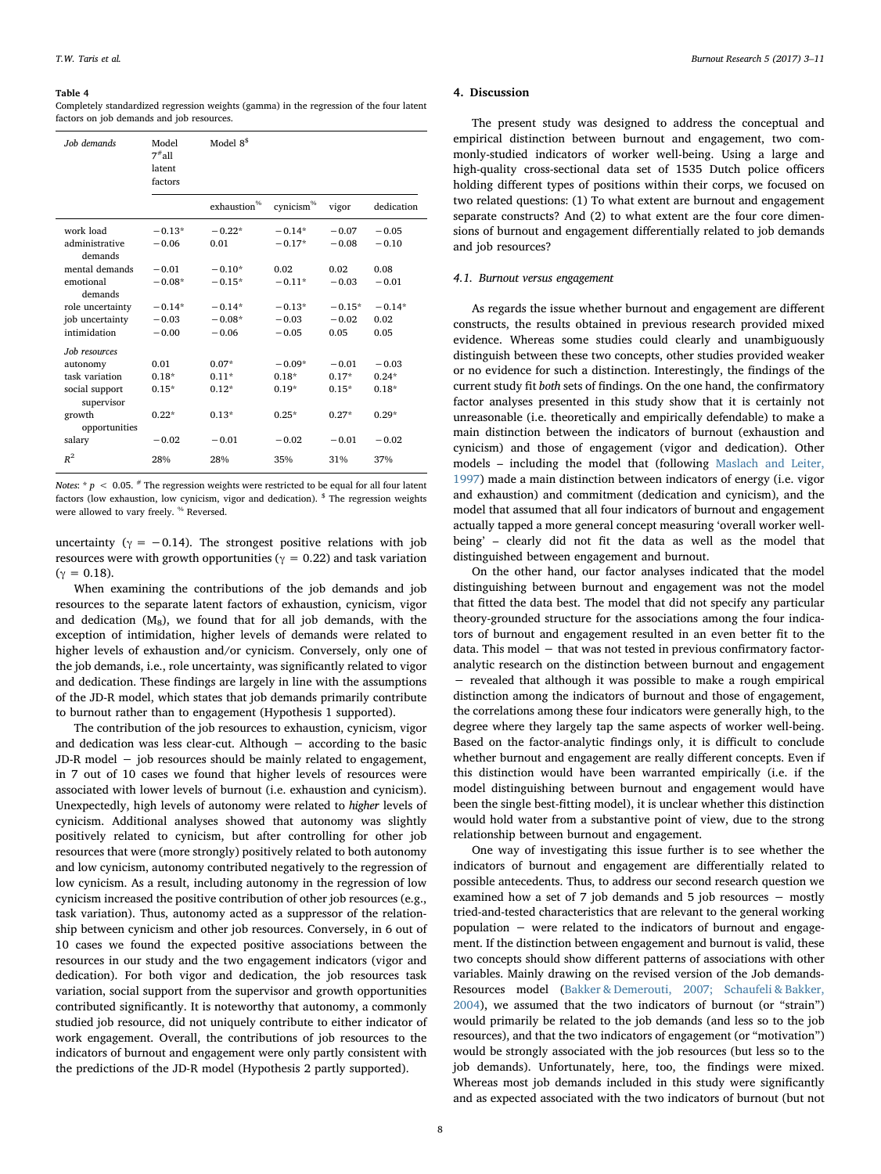#### <span id="page-5-0"></span>Table 4

Completely standardized regression weights (gamma) in the regression of the four latent factors on job demands and job resources.

| Job demands                                         | Model<br>$7^{\#}$ all<br>latent<br>factors | Model $8§$                      |                                |                               |                               |
|-----------------------------------------------------|--------------------------------------------|---------------------------------|--------------------------------|-------------------------------|-------------------------------|
|                                                     |                                            | exhaustion <sup>%</sup>         | cynicism <sup>%</sup>          | vigor                         | dedication                    |
| work load<br>administrative<br>demands              | $-0.13*$<br>$-0.06$                        | $-0.22*$<br>0.01                | $-0.14*$<br>$-0.17*$           | $-0.07$<br>$-0.08$            | $-0.05$<br>$-0.10$            |
| mental demands<br>emotional<br>demands              | $-0.01$<br>$-0.08*$                        | $-0.10*$<br>$-0.15*$            | 0.02<br>$-0.11*$               | 0.02<br>$-0.03$               | 0.08<br>$-0.01$               |
| role uncertainty<br>job uncertainty<br>intimidation | $-0.14*$<br>$-0.03$<br>$-0.00$             | $-0.14*$<br>$-0.08*$<br>$-0.06$ | $-0.13*$<br>$-0.03$<br>$-0.05$ | $-0.15*$<br>$-0.02$<br>0.05   | $-0.14*$<br>0.02<br>0.05      |
| Job resources                                       |                                            |                                 |                                |                               |                               |
| autonomy<br>task variation<br>social support        | 0.01<br>$0.18*$<br>$0.15*$                 | $0.07*$<br>$0.11*$<br>$0.12*$   | $-0.09*$<br>$0.18*$<br>$0.19*$ | $-0.01$<br>$0.17*$<br>$0.15*$ | $-0.03$<br>$0.24*$<br>$0.18*$ |
| supervisor<br>growth<br>opportunities               | $0.22*$                                    | $0.13*$                         | $0.25*$                        | $0.27*$                       | $0.29*$                       |
| salary                                              | $-0.02$                                    | $-0.01$                         | $-0.02$                        | $-0.01$                       | $-0.02$                       |
| $R^2$                                               | 28%                                        | 28%                             | 35%                            | 31%                           | 37%                           |

*Notes:*  $* p < 0.05$ .  $*$  The regression weights were restricted to be equal for all four latent factors (low exhaustion, low cynicism, vigor and dedication). \$ The regression weights were allowed to vary freely. <sup>%</sup> Reversed.

uncertainty ( $\gamma = -0.14$ ). The strongest positive relations with job resources were with growth opportunities ( $\gamma = 0.22$ ) and task variation (γ = 0.18).

When examining the contributions of the job demands and job resources to the separate latent factors of exhaustion, cynicism, vigor and dedication  $(M_8)$ , we found that for all job demands, with the exception of intimidation, higher levels of demands were related to higher levels of exhaustion and/or cynicism. Conversely, only one of the job demands, i.e., role uncertainty, was significantly related to vigor and dedication. These findings are largely in line with the assumptions of the JD-R model, which states that job demands primarily contribute to burnout rather than to engagement (Hypothesis 1 supported).

The contribution of the job resources to exhaustion, cynicism, vigor and dedication was less clear-cut. Although − according to the basic JD-R model − job resources should be mainly related to engagement, in 7 out of 10 cases we found that higher levels of resources were associated with lower levels of burnout (i.e. exhaustion and cynicism). Unexpectedly, high levels of autonomy were related to higher levels of cynicism. Additional analyses showed that autonomy was slightly positively related to cynicism, but after controlling for other job resources that were (more strongly) positively related to both autonomy and low cynicism, autonomy contributed negatively to the regression of low cynicism. As a result, including autonomy in the regression of low cynicism increased the positive contribution of other job resources (e.g., task variation). Thus, autonomy acted as a suppressor of the relationship between cynicism and other job resources. Conversely, in 6 out of 10 cases we found the expected positive associations between the resources in our study and the two engagement indicators (vigor and dedication). For both vigor and dedication, the job resources task variation, social support from the supervisor and growth opportunities contributed significantly. It is noteworthy that autonomy, a commonly studied job resource, did not uniquely contribute to either indicator of work engagement. Overall, the contributions of job resources to the indicators of burnout and engagement were only partly consistent with the predictions of the JD-R model (Hypothesis 2 partly supported).

#### 4. Discussion

The present study was designed to address the conceptual and empirical distinction between burnout and engagement, two commonly-studied indicators of worker well-being. Using a large and high-quality cross-sectional data set of 1535 Dutch police officers holding different types of positions within their corps, we focused on two related questions: (1) To what extent are burnout and engagement separate constructs? And (2) to what extent are the four core dimensions of burnout and engagement differentially related to job demands and job resources?

#### 4.1. Burnout versus engagement

As regards the issue whether burnout and engagement are different constructs, the results obtained in previous research provided mixed evidence. Whereas some studies could clearly and unambiguously distinguish between these two concepts, other studies provided weaker or no evidence for such a distinction. Interestingly, the findings of the current study fit both sets of findings. On the one hand, the confirmatory factor analyses presented in this study show that it is certainly not unreasonable (i.e. theoretically and empirically defendable) to make a main distinction between the indicators of burnout (exhaustion and cynicism) and those of engagement (vigor and dedication). Other models – including the model that (following [Maslach and Leiter,](#page-8-2) [1997\)](#page-8-2) made a main distinction between indicators of energy (i.e. vigor and exhaustion) and commitment (dedication and cynicism), and the model that assumed that all four indicators of burnout and engagement actually tapped a more general concept measuring 'overall worker wellbeing' – clearly did not fit the data as well as the model that distinguished between engagement and burnout.

On the other hand, our factor analyses indicated that the model distinguishing between burnout and engagement was not the model that fitted the data best. The model that did not specify any particular theory-grounded structure for the associations among the four indicators of burnout and engagement resulted in an even better fit to the data. This model − that was not tested in previous confirmatory factoranalytic research on the distinction between burnout and engagement − revealed that although it was possible to make a rough empirical distinction among the indicators of burnout and those of engagement, the correlations among these four indicators were generally high, to the degree where they largely tap the same aspects of worker well-being. Based on the factor-analytic findings only, it is difficult to conclude whether burnout and engagement are really different concepts. Even if this distinction would have been warranted empirically (i.e. if the model distinguishing between burnout and engagement would have been the single best-fitting model), it is unclear whether this distinction would hold water from a substantive point of view, due to the strong relationship between burnout and engagement.

One way of investigating this issue further is to see whether the indicators of burnout and engagement are differentially related to possible antecedents. Thus, to address our second research question we examined how a set of 7 job demands and 5 job resources − mostly tried-and-tested characteristics that are relevant to the general working population − were related to the indicators of burnout and engagement. If the distinction between engagement and burnout is valid, these two concepts should show different patterns of associations with other variables. Mainly drawing on the revised version of the Job demands-Resources model ([Bakker & Demerouti, 2007; Schaufeli & Bakker,](#page-7-3) [2004\)](#page-7-3), we assumed that the two indicators of burnout (or "strain") would primarily be related to the job demands (and less so to the job resources), and that the two indicators of engagement (or "motivation") would be strongly associated with the job resources (but less so to the job demands). Unfortunately, here, too, the findings were mixed. Whereas most job demands included in this study were significantly and as expected associated with the two indicators of burnout (but not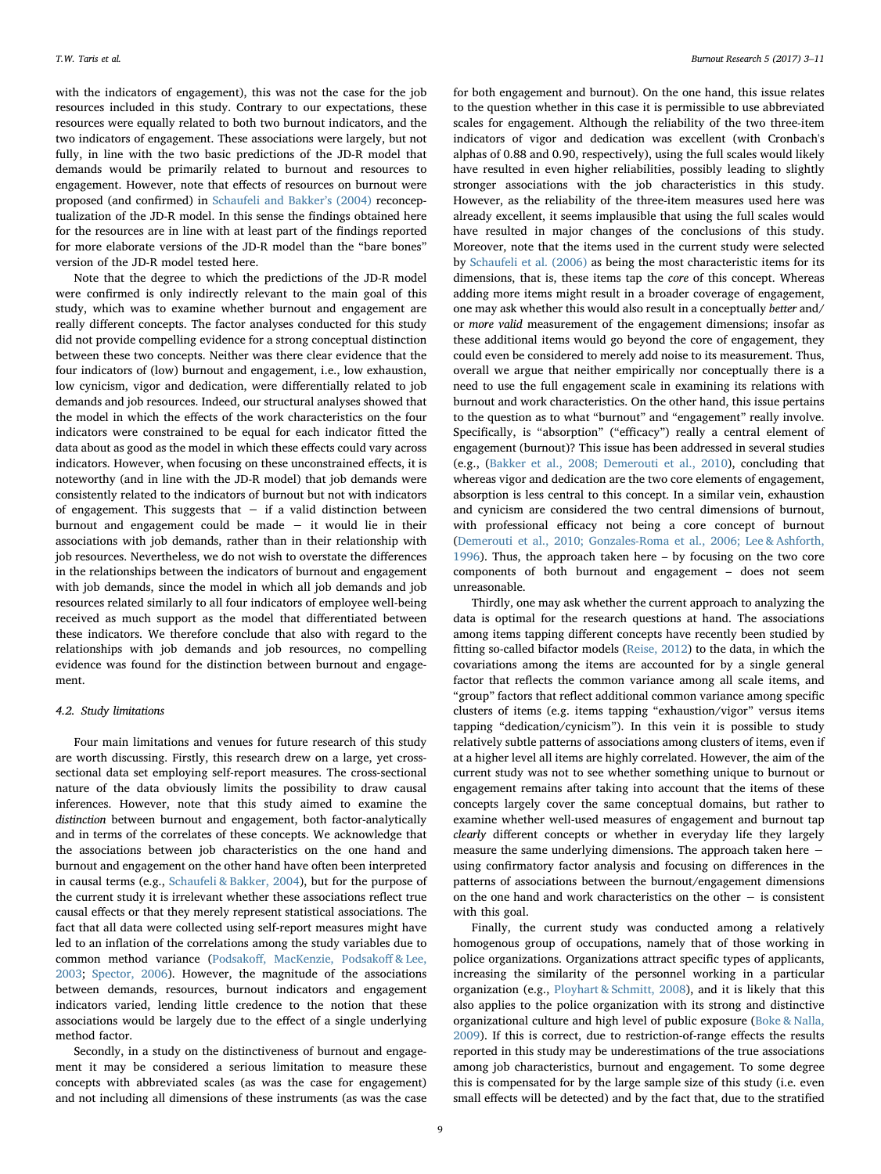with the indicators of engagement), this was not the case for the job resources included in this study. Contrary to our expectations, these resources were equally related to both two burnout indicators, and the two indicators of engagement. These associations were largely, but not fully, in line with the two basic predictions of the JD-R model that demands would be primarily related to burnout and resources to engagement. However, note that effects of resources on burnout were proposed (and confirmed) in [Schaufeli and Bakker](#page-8-5)'s (2004) reconceptualization of the JD-R model. In this sense the findings obtained here for the resources are in line with at least part of the findings reported for more elaborate versions of the JD-R model than the "bare bones" version of the JD-R model tested here.

Note that the degree to which the predictions of the JD-R model were confirmed is only indirectly relevant to the main goal of this study, which was to examine whether burnout and engagement are really different concepts. The factor analyses conducted for this study did not provide compelling evidence for a strong conceptual distinction between these two concepts. Neither was there clear evidence that the four indicators of (low) burnout and engagement, i.e., low exhaustion, low cynicism, vigor and dedication, were differentially related to job demands and job resources. Indeed, our structural analyses showed that the model in which the effects of the work characteristics on the four indicators were constrained to be equal for each indicator fitted the data about as good as the model in which these effects could vary across indicators. However, when focusing on these unconstrained effects, it is noteworthy (and in line with the JD-R model) that job demands were consistently related to the indicators of burnout but not with indicators of engagement. This suggests that − if a valid distinction between burnout and engagement could be made − it would lie in their associations with job demands, rather than in their relationship with job resources. Nevertheless, we do not wish to overstate the differences in the relationships between the indicators of burnout and engagement with job demands, since the model in which all job demands and job resources related similarly to all four indicators of employee well-being received as much support as the model that differentiated between these indicators. We therefore conclude that also with regard to the relationships with job demands and job resources, no compelling evidence was found for the distinction between burnout and engagement.

#### 4.2. Study limitations

Four main limitations and venues for future research of this study are worth discussing. Firstly, this research drew on a large, yet crosssectional data set employing self-report measures. The cross-sectional nature of the data obviously limits the possibility to draw causal inferences. However, note that this study aimed to examine the distinction between burnout and engagement, both factor-analytically and in terms of the correlates of these concepts. We acknowledge that the associations between job characteristics on the one hand and burnout and engagement on the other hand have often been interpreted in causal terms (e.g., [Schaufeli & Bakker, 2004\)](#page-8-5), but for the purpose of the current study it is irrelevant whether these associations reflect true causal effects or that they merely represent statistical associations. The fact that all data were collected using self-report measures might have led to an inflation of the correlations among the study variables due to common method variance (Podsakoff, [MacKenzie, Podsako](#page-8-33)ff & Lee, [2003;](#page-8-33) [Spector, 2006](#page-8-34)). However, the magnitude of the associations between demands, resources, burnout indicators and engagement indicators varied, lending little credence to the notion that these associations would be largely due to the effect of a single underlying method factor.

Secondly, in a study on the distinctiveness of burnout and engagement it may be considered a serious limitation to measure these concepts with abbreviated scales (as was the case for engagement) and not including all dimensions of these instruments (as was the case

for both engagement and burnout). On the one hand, this issue relates to the question whether in this case it is permissible to use abbreviated scales for engagement. Although the reliability of the two three-item indicators of vigor and dedication was excellent (with Cronbach's alphas of 0.88 and 0.90, respectively), using the full scales would likely have resulted in even higher reliabilities, possibly leading to slightly stronger associations with the job characteristics in this study. However, as the reliability of the three-item measures used here was already excellent, it seems implausible that using the full scales would have resulted in major changes of the conclusions of this study. Moreover, note that the items used in the current study were selected by [Schaufeli et al. \(2006\)](#page-8-24) as being the most characteristic items for its dimensions, that is, these items tap the core of this concept. Whereas adding more items might result in a broader coverage of engagement, one may ask whether this would also result in a conceptually better and/ or more valid measurement of the engagement dimensions; insofar as these additional items would go beyond the core of engagement, they could even be considered to merely add noise to its measurement. Thus, overall we argue that neither empirically nor conceptually there is a need to use the full engagement scale in examining its relations with burnout and work characteristics. On the other hand, this issue pertains to the question as to what "burnout" and "engagement" really involve. Specifically, is "absorption" ("efficacy") really a central element of engagement (burnout)? This issue has been addressed in several studies (e.g., [\(Bakker et al., 2008; Demerouti et al., 2010](#page-7-0)), concluding that whereas vigor and dedication are the two core elements of engagement, absorption is less central to this concept. In a similar vein, exhaustion and cynicism are considered the two central dimensions of burnout, with professional efficacy not being a core concept of burnout ([Demerouti et al., 2010; Gonzales-Roma et al., 2006; Lee & Ashforth,](#page-8-16) [1996\)](#page-8-16). Thus, the approach taken here – by focusing on the two core components of both burnout and engagement – does not seem unreasonable.

Thirdly, one may ask whether the current approach to analyzing the data is optimal for the research questions at hand. The associations among items tapping different concepts have recently been studied by fitting so-called bifactor models ([Reise, 2012](#page-8-35)) to the data, in which the covariations among the items are accounted for by a single general factor that reflects the common variance among all scale items, and "group" factors that reflect additional common variance among specific clusters of items (e.g. items tapping "exhaustion/vigor" versus items tapping "dedication/cynicism"). In this vein it is possible to study relatively subtle patterns of associations among clusters of items, even if at a higher level all items are highly correlated. However, the aim of the current study was not to see whether something unique to burnout or engagement remains after taking into account that the items of these concepts largely cover the same conceptual domains, but rather to examine whether well-used measures of engagement and burnout tap clearly different concepts or whether in everyday life they largely measure the same underlying dimensions. The approach taken here − using confirmatory factor analysis and focusing on differences in the patterns of associations between the burnout/engagement dimensions on the one hand and work characteristics on the other − is consistent with this goal.

Finally, the current study was conducted among a relatively homogenous group of occupations, namely that of those working in police organizations. Organizations attract specific types of applicants, increasing the similarity of the personnel working in a particular organization (e.g., [Ployhart & Schmitt, 2008\)](#page-8-36), and it is likely that this also applies to the police organization with its strong and distinctive organizational culture and high level of public exposure ([Boke & Nalla,](#page-8-37) [2009\)](#page-8-37). If this is correct, due to restriction-of-range effects the results reported in this study may be underestimations of the true associations among job characteristics, burnout and engagement. To some degree this is compensated for by the large sample size of this study (i.e. even small effects will be detected) and by the fact that, due to the stratified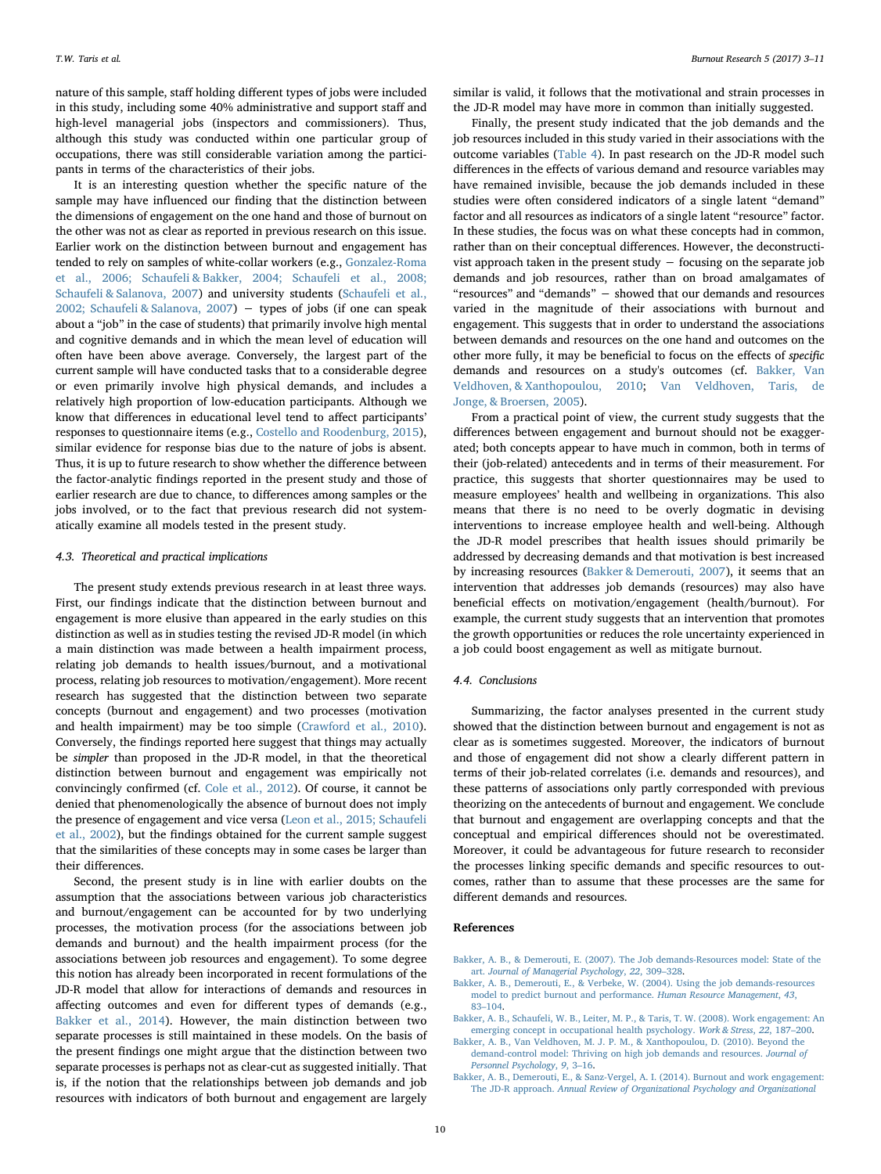nature of this sample, staff holding different types of jobs were included in this study, including some 40% administrative and support staff and high-level managerial jobs (inspectors and commissioners). Thus, although this study was conducted within one particular group of occupations, there was still considerable variation among the participants in terms of the characteristics of their jobs.

It is an interesting question whether the specific nature of the sample may have influenced our finding that the distinction between the dimensions of engagement on the one hand and those of burnout on the other was not as clear as reported in previous research on this issue. Earlier work on the distinction between burnout and engagement has tended to rely on samples of white-collar workers (e.g., [Gonzalez-Roma](#page-8-15) [et al., 2006; Schaufeli & Bakker, 2004; Schaufeli et al., 2008;](#page-8-15) [Schaufeli & Salanova, 2007](#page-8-15)) and university students ([Schaufeli et al.,](#page-8-4) [2002; Schaufeli & Salanova, 2007\)](#page-8-4) − types of jobs (if one can speak about a "job" in the case of students) that primarily involve high mental and cognitive demands and in which the mean level of education will often have been above average. Conversely, the largest part of the current sample will have conducted tasks that to a considerable degree or even primarily involve high physical demands, and includes a relatively high proportion of low-education participants. Although we know that differences in educational level tend to affect participants' responses to questionnaire items (e.g., [Costello and Roodenburg, 2015](#page-8-38)), similar evidence for response bias due to the nature of jobs is absent. Thus, it is up to future research to show whether the difference between the factor-analytic findings reported in the present study and those of earlier research are due to chance, to differences among samples or the jobs involved, or to the fact that previous research did not systematically examine all models tested in the present study.

# 4.3. Theoretical and practical implications

The present study extends previous research in at least three ways. First, our findings indicate that the distinction between burnout and engagement is more elusive than appeared in the early studies on this distinction as well as in studies testing the revised JD-R model (in which a main distinction was made between a health impairment process, relating job demands to health issues/burnout, and a motivational process, relating job resources to motivation/engagement). More recent research has suggested that the distinction between two separate concepts (burnout and engagement) and two processes (motivation and health impairment) may be too simple ([Crawford et al., 2010](#page-8-18)). Conversely, the findings reported here suggest that things may actually be simpler than proposed in the JD-R model, in that the theoretical distinction between burnout and engagement was empirically not convincingly confirmed (cf. [Cole et al., 2012](#page-8-0)). Of course, it cannot be denied that phenomenologically the absence of burnout does not imply the presence of engagement and vice versa [\(Leon et al., 2015; Schaufeli](#page-8-1) [et al., 2002\)](#page-8-1), but the findings obtained for the current sample suggest that the similarities of these concepts may in some cases be larger than their differences.

Second, the present study is in line with earlier doubts on the assumption that the associations between various job characteristics and burnout/engagement can be accounted for by two underlying processes, the motivation process (for the associations between job demands and burnout) and the health impairment process (for the associations between job resources and engagement). To some degree this notion has already been incorporated in recent formulations of the JD-R model that allow for interactions of demands and resources in affecting outcomes and even for different types of demands (e.g., [Bakker et al., 2014\)](#page-7-1). However, the main distinction between two separate processes is still maintained in these models. On the basis of the present findings one might argue that the distinction between two separate processes is perhaps not as clear-cut as suggested initially. That is, if the notion that the relationships between job demands and job resources with indicators of both burnout and engagement are largely

similar is valid, it follows that the motivational and strain processes in the JD-R model may have more in common than initially suggested.

Finally, the present study indicated that the job demands and the job resources included in this study varied in their associations with the outcome variables [\(Table 4\)](#page-5-0). In past research on the JD-R model such differences in the effects of various demand and resource variables may have remained invisible, because the job demands included in these studies were often considered indicators of a single latent "demand" factor and all resources as indicators of a single latent "resource" factor. In these studies, the focus was on what these concepts had in common, rather than on their conceptual differences. However, the deconstructivist approach taken in the present study  $-$  focusing on the separate job demands and job resources, rather than on broad amalgamates of "resources" and "demands" − showed that our demands and resources varied in the magnitude of their associations with burnout and engagement. This suggests that in order to understand the associations between demands and resources on the one hand and outcomes on the other more fully, it may be beneficial to focus on the effects of specific demands and resources on a study's outcomes (cf. [Bakker, Van](#page-7-4) [Veldhoven, & Xanthopoulou, 2010;](#page-7-4) [Van Veldhoven, Taris, de](#page-8-39) [Jonge, & Broersen, 2005](#page-8-39)).

From a practical point of view, the current study suggests that the differences between engagement and burnout should not be exaggerated; both concepts appear to have much in common, both in terms of their (job-related) antecedents and in terms of their measurement. For practice, this suggests that shorter questionnaires may be used to measure employees' health and wellbeing in organizations. This also means that there is no need to be overly dogmatic in devising interventions to increase employee health and well-being. Although the JD-R model prescribes that health issues should primarily be addressed by decreasing demands and that motivation is best increased by increasing resources ([Bakker & Demerouti, 2007\)](#page-7-3), it seems that an intervention that addresses job demands (resources) may also have beneficial effects on motivation/engagement (health/burnout). For example, the current study suggests that an intervention that promotes the growth opportunities or reduces the role uncertainty experienced in a job could boost engagement as well as mitigate burnout.

# 4.4. Conclusions

Summarizing, the factor analyses presented in the current study showed that the distinction between burnout and engagement is not as clear as is sometimes suggested. Moreover, the indicators of burnout and those of engagement did not show a clearly different pattern in terms of their job-related correlates (i.e. demands and resources), and these patterns of associations only partly corresponded with previous theorizing on the antecedents of burnout and engagement. We conclude that burnout and engagement are overlapping concepts and that the conceptual and empirical differences should not be overestimated. Moreover, it could be advantageous for future research to reconsider the processes linking specific demands and specific resources to outcomes, rather than to assume that these processes are the same for different demands and resources.

# References

- <span id="page-7-3"></span>[Bakker, A. B., & Demerouti, E. \(2007\). The Job demands-Resources model: State of the](http://refhub.elsevier.com/S2213-0586(16)30055-9/sbref0005) art. [Journal of Managerial Psychology](http://refhub.elsevier.com/S2213-0586(16)30055-9/sbref0005), 22, 309–328.
- <span id="page-7-2"></span>[Bakker, A. B., Demerouti, E., & Verbeke, W. \(2004\). Using the job demands-resources](http://refhub.elsevier.com/S2213-0586(16)30055-9/sbref0010) [model to predict burnout and performance.](http://refhub.elsevier.com/S2213-0586(16)30055-9/sbref0010) Human Resource Management, 43, 83–[104.](http://refhub.elsevier.com/S2213-0586(16)30055-9/sbref0010)
- <span id="page-7-0"></span>[Bakker, A. B., Schaufeli, W. B., Leiter, M. P., & Taris, T. W. \(2008\). Work engagement: An](http://refhub.elsevier.com/S2213-0586(16)30055-9/sbref0015) [emerging concept in occupational health psychology.](http://refhub.elsevier.com/S2213-0586(16)30055-9/sbref0015) Work & Stress, 22, 187–200.
- <span id="page-7-4"></span>[Bakker, A. B., Van Veldhoven, M. J. P. M., & Xanthopoulou, D. \(2010\). Beyond the](http://refhub.elsevier.com/S2213-0586(16)30055-9/sbref0020) [demand-control model: Thriving on high job demands and resources.](http://refhub.elsevier.com/S2213-0586(16)30055-9/sbref0020) Journal of [Personnel Psychology](http://refhub.elsevier.com/S2213-0586(16)30055-9/sbref0020), 9, 3–16.
- <span id="page-7-1"></span>[Bakker, A. B., Demerouti, E., & Sanz-Vergel, A. I. \(2014\). Burnout and work engagement:](http://refhub.elsevier.com/S2213-0586(16)30055-9/sbref0025) The JD-R approach. [Annual Review of Organizational Psychology and Organizational](http://refhub.elsevier.com/S2213-0586(16)30055-9/sbref0025)